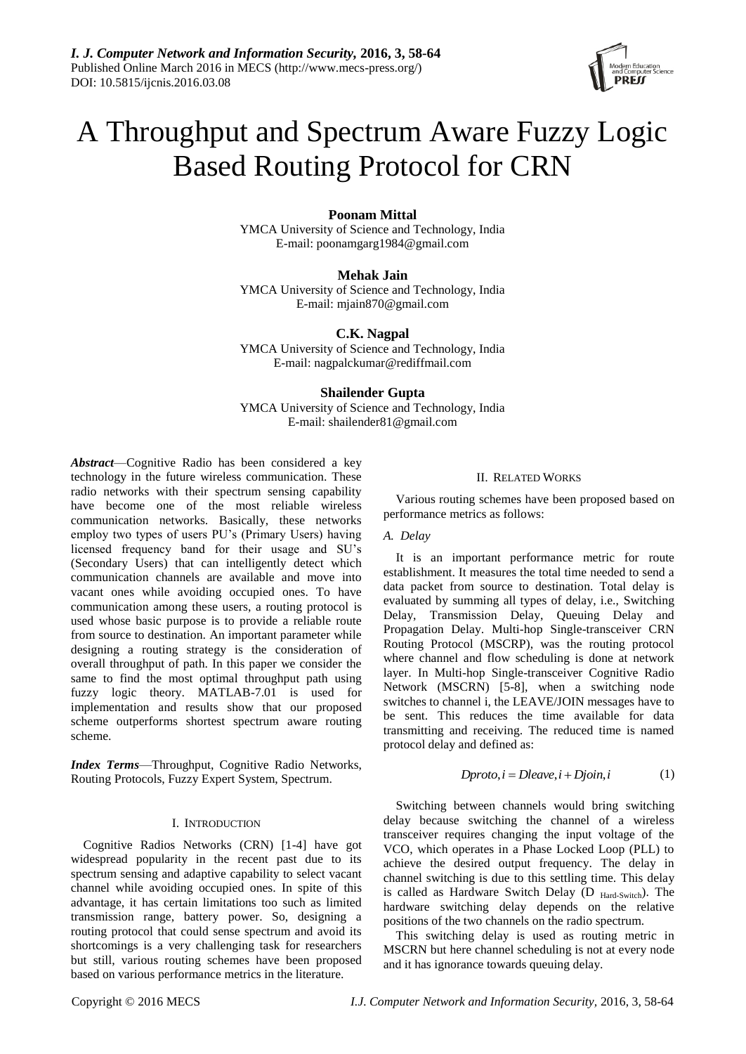*I. J. Computer Network and Information Security,* **2016, 3, 58-64** Published Online March 2016 in MECS (http://www.mecs-press.org/) DOI: 10.5815/ijcnis.2016.03.08

# A Throughput and Spectrum Aware Fuzzy Logic Based Routing Protocol for CRN

# **Poonam Mittal**

YMCA University of Science and Technology, India E-mail: poonamgarg1984@gmail.com

**Mehak Jain** YMCA University of Science and Technology, India E-mail: mjain870@gmail.com

**C.K. Nagpal**

YMCA University of Science and Technology, India E-mail: nagpalckumar@rediffmail.com

# **Shailender Gupta**

YMCA University of Science and Technology, India E-mail: shailender81@gmail.com

*Abstract*—Cognitive Radio has been considered a key technology in the future wireless communication. These radio networks with their spectrum sensing capability have become one of the most reliable wireless communication networks. Basically, these networks employ two types of users PU's (Primary Users) having licensed frequency band for their usage and SU's (Secondary Users) that can intelligently detect which communication channels are available and move into vacant ones while avoiding occupied ones. To have communication among these users, a routing protocol is used whose basic purpose is to provide a reliable route from source to destination. An important parameter while designing a routing strategy is the consideration of overall throughput of path. In this paper we consider the same to find the most optimal throughput path using fuzzy logic theory. MATLAB-7.01 is used for implementation and results show that our proposed scheme outperforms shortest spectrum aware routing scheme.

*Index Terms*—Throughput, Cognitive Radio Networks, Routing Protocols, Fuzzy Expert System, Spectrum.

## I. INTRODUCTION

Cognitive Radios Networks (CRN) [1-4] have got widespread popularity in the recent past due to its spectrum sensing and adaptive capability to select vacant channel while avoiding occupied ones. In spite of this advantage, it has certain limitations too such as limited transmission range, battery power. So, designing a routing protocol that could sense spectrum and avoid its shortcomings is a very challenging task for researchers but still, various routing schemes have been proposed based on various performance metrics in the literature.

# II. RELATED WORKS

Various routing schemes have been proposed based on performance metrics as follows:

# *A. Delay*

It is an important performance metric for route establishment. It measures the total time needed to send a data packet from source to destination. Total delay is evaluated by summing all types of delay, i.e., Switching Delay, Transmission Delay, Queuing Delay and Propagation Delay. Multi-hop Single-transceiver CRN Routing Protocol (MSCRP), was the routing protocol where channel and flow scheduling is done at network layer. In Multi-hop Single-transceiver Cognitive Radio Network (MSCRN) [5-8], when a switching node switches to channel i, the LEAVE/JOIN messages have to be sent. This reduces the time available for data transmitting and receiving. The reduced time is named protocol delay and defined as:

$$
Dproto, i = Dleave, i + Djoin, i \tag{1}
$$

Switching between channels would bring switching delay because switching the channel of a wireless transceiver requires changing the input voltage of the VCO, which operates in a Phase Locked Loop (PLL) to achieve the desired output frequency. The delay in channel switching is due to this settling time. This delay is called as Hardware Switch Delay (D Hard-Switch). The hardware switching delay depends on the relative positions of the two channels on the radio spectrum.

This switching delay is used as routing metric in MSCRN but here channel scheduling is not at every node and it has ignorance towards queuing delay.

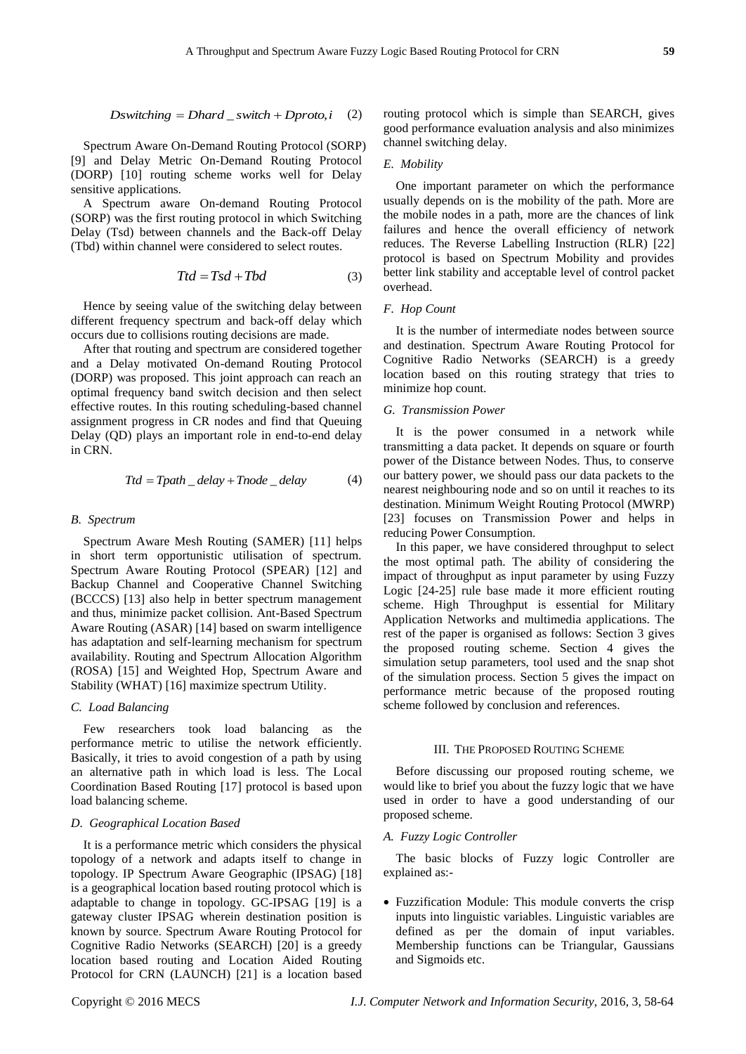Spectrum Aware On-Demand Routing Protocol (SORP) [9] and Delay Metric On-Demand Routing Protocol (DORP) [10] routing scheme works well for Delay sensitive applications.

A Spectrum aware On-demand Routing Protocol (SORP) was the first routing protocol in which Switching Delay (Tsd) between channels and the Back-off Delay (Tbd) within channel were considered to select routes.

$$
Ttd = Tsd + Tbd \tag{3}
$$

Hence by seeing value of the switching delay between different frequency spectrum and back-off delay which occurs due to collisions routing decisions are made.

After that routing and spectrum are considered together and a Delay motivated On-demand Routing Protocol (DORP) was proposed. This joint approach can reach an optimal frequency band switch decision and then select effective routes. In this routing scheduling-based channel assignment progress in CR nodes and find that Queuing Delay (QD) plays an important role in end-to-end delay in CRN.

$$
Ttd = Tpath\_delay + Tnode\_delay
$$
 (4)

## *B. Spectrum*

Spectrum Aware Mesh Routing (SAMER) [11] helps in short term opportunistic utilisation of spectrum. Spectrum Aware Routing Protocol (SPEAR) [12] and Backup Channel and Cooperative Channel Switching (BCCCS) [13] also help in better spectrum management and thus, minimize packet collision. Ant-Based Spectrum Aware Routing (ASAR) [14] based on swarm intelligence has adaptation and self-learning mechanism for spectrum availability. Routing and Spectrum Allocation Algorithm (ROSA) [15] and Weighted Hop, Spectrum Aware and Stability (WHAT) [16] maximize spectrum Utility.

# *C. Load Balancing*

Few researchers took load balancing as the performance metric to utilise the network efficiently. Basically, it tries to avoid congestion of a path by using an alternative path in which load is less. The Local Coordination Based Routing [17] protocol is based upon load balancing scheme.

#### *D. Geographical Location Based*

It is a performance metric which considers the physical topology of a network and adapts itself to change in topology. IP Spectrum Aware Geographic (IPSAG) [18] is a geographical location based routing protocol which is adaptable to change in topology. GC-IPSAG [19] is a gateway cluster IPSAG wherein destination position is known by source. Spectrum Aware Routing Protocol for Cognitive Radio Networks (SEARCH) [20] is a greedy location based routing and Location Aided Routing Protocol for CRN (LAUNCH) [21] is a location based

routing protocol which is simple than SEARCH, gives

# *E. Mobility*

One important parameter on which the performance usually depends on is the mobility of the path. More are the mobile nodes in a path, more are the chances of link failures and hence the overall efficiency of network reduces. The Reverse Labelling Instruction (RLR) [22] protocol is based on Spectrum Mobility and provides better link stability and acceptable level of control packet overhead.

# *F. Hop Count*

It is the number of intermediate nodes between source and destination. Spectrum Aware Routing Protocol for Cognitive Radio Networks (SEARCH) is a greedy location based on this routing strategy that tries to minimize hop count.

#### *G. Transmission Power*

It is the power consumed in a network while transmitting a data packet. It depends on square or fourth power of the Distance between Nodes. Thus, to conserve our battery power, we should pass our data packets to the nearest neighbouring node and so on until it reaches to its destination. Minimum Weight Routing Protocol (MWRP) [23] focuses on Transmission Power and helps in reducing Power Consumption.

Symman Associates and European Copyright Copyright Computer Network and The Basic Equivariant Copyright Copyright Copyright Copyright Copyright Copyright Copyright Copyright Copyright Copyright Copyright Copyright Copyrig In this paper, we have considered throughput to select the most optimal path. The ability of considering the impact of throughput as input parameter by using Fuzzy Logic [24-25] rule base made it more efficient routing scheme. High Throughput is essential for Military Application Networks and multimedia applications. The rest of the paper is organised as follows: Section 3 gives the proposed routing scheme. Section 4 gives the simulation setup parameters, tool used and the snap shot of the simulation process. Section 5 gives the impact on performance metric because of the proposed routing scheme followed by conclusion and references.

# III. THE PROPOSED ROUTING SCHEME

Before discussing our proposed routing scheme, we would like to brief you about the fuzzy logic that we have used in order to have a good understanding of our proposed scheme.

#### *A. Fuzzy Logic Controller*

The basic blocks of Fuzzy logic Controller are explained as:-

 Fuzzification Module: This module converts the crisp inputs into linguistic variables. Linguistic variables are defined as per the domain of input variables. Membership functions can be Triangular, Gaussians and Sigmoids etc.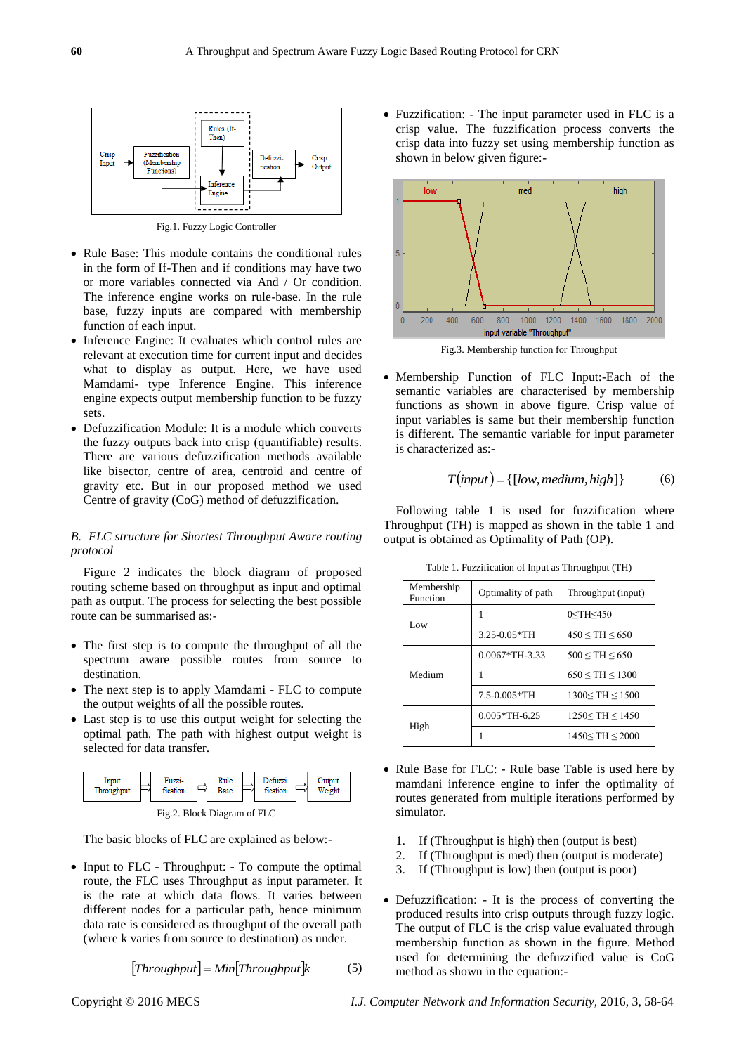

Fig.1. Fuzzy Logic Controller

- Rule Base: This module contains the conditional rules in the form of If-Then and if conditions may have two or more variables connected via And / Or condition. The inference engine works on rule-base. In the rule base, fuzzy inputs are compared with membership function of each input.
- Inference Engine: It evaluates which control rules are relevant at execution time for current input and decides what to display as output. Here, we have used Mamdami- type Inference Engine. This inference engine expects output membership function to be fuzzy sets.
- Defuzzification Module: It is a module which converts the fuzzy outputs back into crisp (quantifiable) results. There are various defuzzification methods available like bisector, centre of area, centroid and centre of gravity etc. But in our proposed method we used Centre of gravity (CoG) method of defuzzification.

# *B. FLC structure for Shortest Throughput Aware routing protocol*

Figure 2 indicates the block diagram of proposed routing scheme based on throughput as input and optimal path as output. The process for selecting the best possible route can be summarised as:-

- The first step is to compute the throughput of all the spectrum aware possible routes from source to destination.
- The next step is to apply Mamdami FLC to compute the output weights of all the possible routes.
- Last step is to use this output weight for selecting the optimal path. The path with highest output weight is selected for data transfer.



Fig.2. Block Diagram of FLC

The basic blocks of FLC are explained as below:-

• Input to FLC - Throughput: - To compute the optimal route, the FLC uses Throughput as input parameter. It is the rate at which data flows. It varies between different nodes for a particular path, hence minimum data rate is considered as throughput of the overall path (where k varies from source to destination) as under.

$$
[Throughput] = Min[Throughput]k \tag{5}
$$

 Fuzzification: - The input parameter used in FLC is a crisp value. The fuzzification process converts the crisp data into fuzzy set using membership function as shown in below given figure:-



Fig.3. Membership function for Throughput

 Membership Function of FLC Input:-Each of the semantic variables are characterised by membership functions as shown in above figure. Crisp value of input variables is same but their membership function is different. The semantic variable for input parameter is characterized as:-

$$
T(input) = \{ [low, medium, high] \}
$$
 (6)

Following table 1 is used for fuzzification where Throughput (TH) is mapped as shown in the table 1 and output is obtained as Optimality of Path (OP).

| Membership<br>Function | Optimality of path | Throughput (input)       |  |
|------------------------|--------------------|--------------------------|--|
| Low                    |                    | $0 <$ TH $<$ 450         |  |
|                        | $3.25 - 0.05*TH$   | $450 \leq TH \leq 650$   |  |
| Medium                 | $0.0067*TH-3.33$   | $500 \leq TH \leq 650$   |  |
|                        | 1                  | 650 < TH < 1300          |  |
|                        | 7.5-0.005*TH       | $1300 \leq TH \leq 1500$ |  |
| High                   | $0.005*TH-6.25$    | $1250 \leq TH \leq 1450$ |  |
|                        |                    | 1450 < TH < 2000         |  |

Table 1. Fuzzification of Input as Throughput (TH)

- Rule Base for FLC: Rule base Table is used here by mamdani inference engine to infer the optimality of routes generated from multiple iterations performed by simulator.
	- 1. If (Throughput is high) then (output is best)
	- 2. If (Throughput is med) then (output is moderate)
	- 3. If (Throughput is low) then (output is poor)
- Defuzzification: It is the process of converting the produced results into crisp outputs through fuzzy logic. The output of FLC is the crisp value evaluated through membership function as shown in the figure. Method used for determining the defuzzified value is CoG method as shown in the equation:-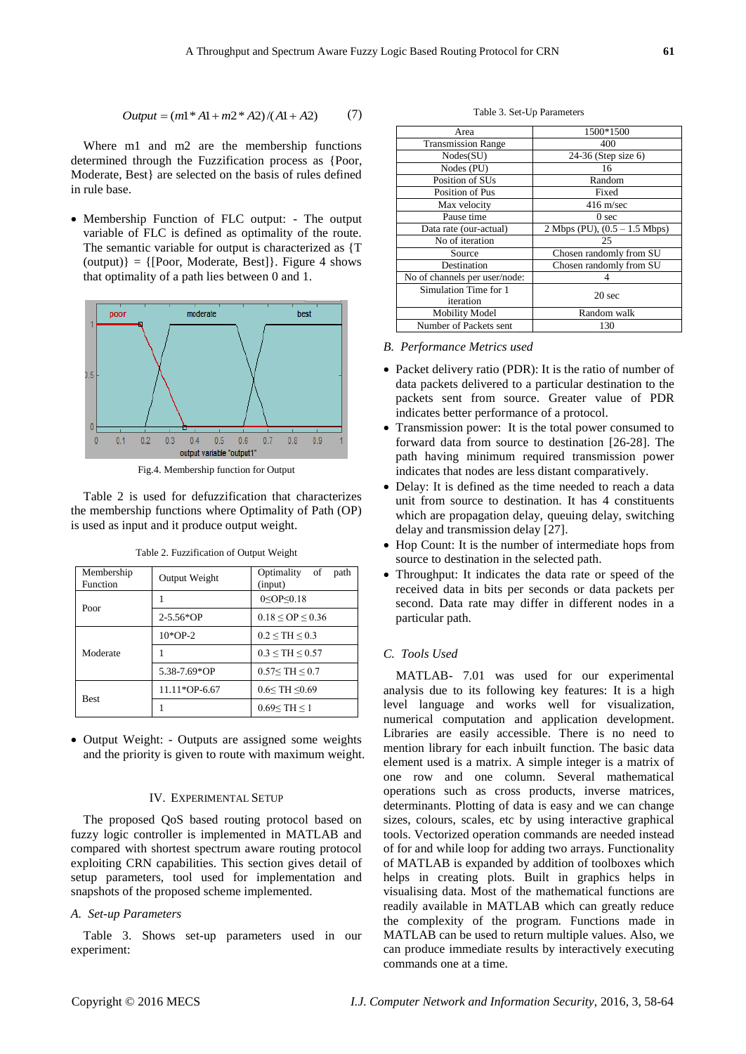$$
Output = (m1 * A1 + m2 * A2) / (A1 + A2)
$$
 (7)

Where m1 and m2 are the membership functions determined through the Fuzzification process as {Poor, Moderate, Best} are selected on the basis of rules defined in rule base.

 Membership Function of FLC output: - The output variable of FLC is defined as optimality of the route. The semantic variable for output is characterized as {T  $(output)] = {[Poor, Moderate, Best]}$ . Figure 4 shows that optimality of a path lies between 0 and 1.



Fig.4. Membership function for Output

Table 2 is used for defuzzification that characterizes the membership functions where Optimality of Path (OP) is used as input and it produce output weight.

| Membership<br>Function | Output Weight | Optimality of<br>path<br>(input) |  |
|------------------------|---------------|----------------------------------|--|
| Poor                   |               | $0 <$ OP $\leq$ O.18             |  |
|                        | $2 - 5.56*OP$ | $0.18 \le OP \le 0.36$           |  |
|                        | $10*OP-2$     | $0.2 \leq TH \leq 0.3$           |  |
| Moderate               |               | $0.3 \leq TH \leq 0.57$          |  |
|                        | 5.38-7.69*OP  | 0.57 < TH < 0.7                  |  |
|                        | 11.11*OP-6.67 | $0.6 <$ TH $\leq 0.69$           |  |
| <b>Best</b>            |               | $0.69 \leq TH \leq 1$            |  |

Table 2. Fuzzification of Output Weight

 Output Weight: - Outputs are assigned some weights and the priority is given to route with maximum weight.

# IV. EXPERIMENTAL SETUP

The proposed QoS based routing protocol based on fuzzy logic controller is implemented in MATLAB and compared with shortest spectrum aware routing protocol exploiting CRN capabilities. This section gives detail of setup parameters, tool used for implementation and snapshots of the proposed scheme implemented.

# *A. Set-up Parameters*

Table 3. Shows set-up parameters used in our experiment:

Table 3. Set-Up Parameters

| Area                          | 1500*1500                       |  |
|-------------------------------|---------------------------------|--|
| <b>Transmission Range</b>     | 400                             |  |
| Nodes(SU)                     | 24-36 (Step size 6)             |  |
| Nodes (PU)                    | 16                              |  |
| Position of SUs               | Random                          |  |
| Position of Pus               | Fixed                           |  |
| Max velocity                  | $416 \text{ m/sec}$             |  |
| Pause time                    | 0 <sub>sec</sub>                |  |
| Data rate (our-actual)        | 2 Mbps (PU), $(0.5 - 1.5$ Mbps) |  |
| No of iteration               | 25                              |  |
| Source                        | Chosen randomly from SU         |  |
| Destination                   | Chosen randomly from SU         |  |
| No of channels per user/node: |                                 |  |
| Simulation Time for 1         | 20 <sub>sec</sub>               |  |
| iteration                     |                                 |  |
| <b>Mobility Model</b>         | Random walk                     |  |
| Number of Packets sent        | 130                             |  |

#### *B. Performance Metrics used*

- Packet delivery ratio (PDR): It is the ratio of number of data packets delivered to a particular destination to the packets sent from source. Greater value of PDR indicates better performance of a protocol.
- Transmission power: It is the total power consumed to forward data from source to destination [26-28]. The path having minimum required transmission power indicates that nodes are less distant comparatively.
- Delay: It is defined as the time needed to reach a data unit from source to destination. It has 4 constituents which are propagation delay, queuing delay, switching delay and transmission delay [27].
- Hop Count: It is the number of intermediate hops from source to destination in the selected path.
- Throughput: It indicates the data rate or speed of the received data in bits per seconds or data packets per second. Data rate may differ in different nodes in a particular path.

# *C. Tools Used*

Copyright © 2016 MECS *I.J. Computer Network and Information Security,* 2016, 3, 58-64 *Output* (*m*1\* *A*1 *m*2\* *A*2)/(*A*1 *A*2) (7) MATLAB- 7.01 was used for our experimental analysis due to its following key features: It is a high level language and works well for visualization, numerical computation and application development. Libraries are easily accessible. There is no need to mention library for each inbuilt function. The basic data element used is a matrix. A simple integer is a matrix of one row and one column. Several mathematical operations such as cross products, inverse matrices, determinants. Plotting of data is easy and we can change sizes, colours, scales, etc by using interactive graphical tools. Vectorized operation commands are needed instead of for and while loop for adding two arrays. Functionality of MATLAB is expanded by addition of toolboxes which helps in creating plots. Built in graphics helps in visualising data. Most of the mathematical functions are readily available in MATLAB which can greatly reduce the complexity of the program. Functions made in MATLAB can be used to return multiple values. Also, we can produce immediate results by interactively executing commands one at a time.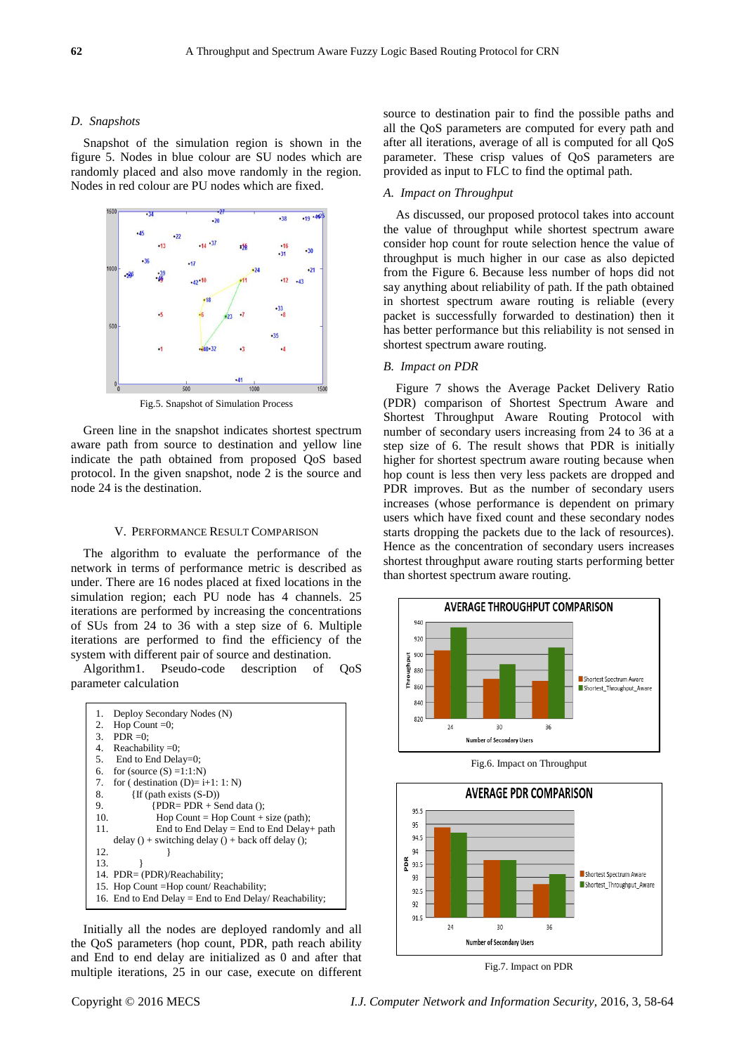# *D. Snapshots*

Snapshot of the simulation region is shown in the figure 5. Nodes in blue colour are SU nodes which are randomly placed and also move randomly in the region. Nodes in red colour are PU nodes which are fixed.



Fig.5. Snapshot of Simulation Process

Green line in the snapshot indicates shortest spectrum aware path from source to destination and yellow line indicate the path obtained from proposed QoS based protocol. In the given snapshot, node 2 is the source and node 24 is the destination.

# V. PERFORMANCE RESULT COMPARISON

The algorithm to evaluate the performance of the network in terms of performance metric is described as under. There are 16 nodes placed at fixed locations in the simulation region; each PU node has 4 channels. 25 iterations are performed by increasing the concentrations of SUs from 24 to 36 with a step size of 6. Multiple iterations are performed to find the efficiency of the system with different pair of source and destination.

Algorithm1. Pseudo-code description of QoS parameter calculation



Initially all the nodes are deployed randomly and all the QoS parameters (hop count, PDR, path reach ability and End to end delay are initialized as 0 and after that multiple iterations, 25 in our case, execute on different source to destination pair to find the possible paths and all the QoS parameters are computed for every path and after all iterations, average of all is computed for all QoS parameter. These crisp values of QoS parameters are provided as input to FLC to find the optimal path.

# *A. Impact on Throughput*

As discussed, our proposed protocol takes into account the value of throughput while shortest spectrum aware consider hop count for route selection hence the value of throughput is much higher in our case as also depicted from the Figure 6. Because less number of hops did not say anything about reliability of path. If the path obtained in shortest spectrum aware routing is reliable (every packet is successfully forwarded to destination) then it has better performance but this reliability is not sensed in shortest spectrum aware routing.

# *B. Impact on PDR*

Figure 7 shows the Average Packet Delivery Ratio (PDR) comparison of Shortest Spectrum Aware and Shortest Throughput Aware Routing Protocol with number of secondary users increasing from 24 to 36 at a step size of 6. The result shows that PDR is initially higher for shortest spectrum aware routing because when hop count is less then very less packets are dropped and PDR improves. But as the number of secondary users increases (whose performance is dependent on primary users which have fixed count and these secondary nodes starts dropping the packets due to the lack of resources). Hence as the concentration of secondary users increases shortest throughput aware routing starts performing better than shortest spectrum aware routing.







Fig.7. Impact on PDR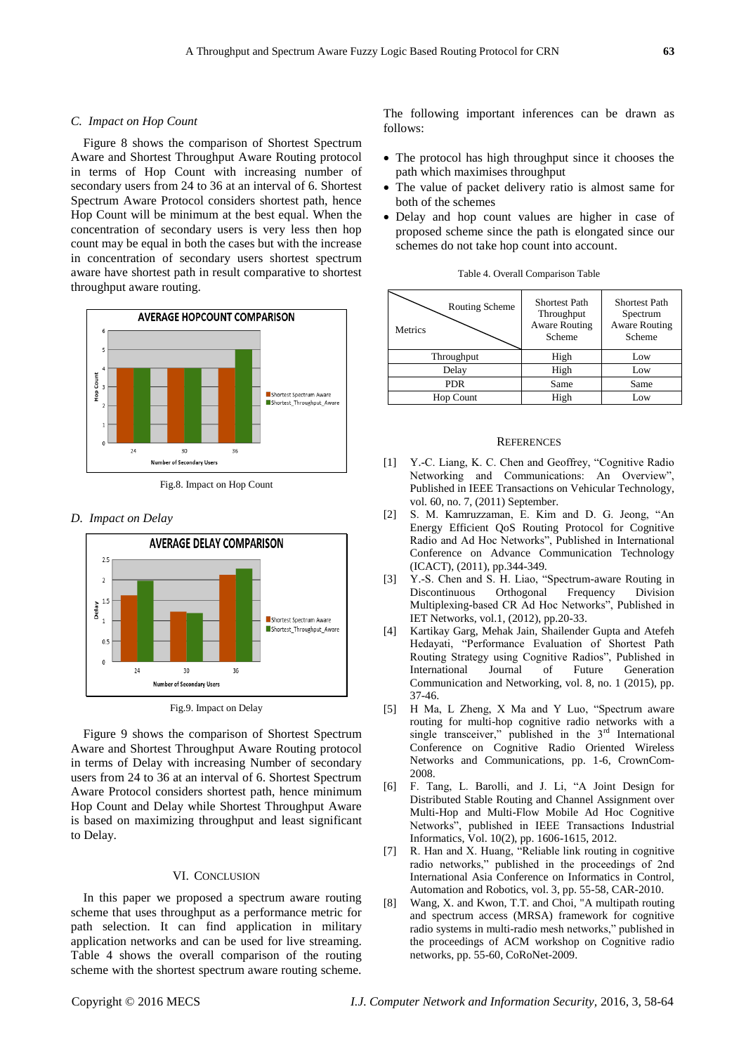# *C. Impact on Hop Count*

Figure 8 shows the comparison of Shortest Spectrum Aware and Shortest Throughput Aware Routing protocol in terms of Hop Count with increasing number of secondary users from 24 to 36 at an interval of 6. Shortest Spectrum Aware Protocol considers shortest path, hence Hop Count will be minimum at the best equal. When the concentration of secondary users is very less then hop count may be equal in both the cases but with the increase in concentration of secondary users shortest spectrum aware have shortest path in result comparative to shortest throughput aware routing.



Fig.8. Impact on Hop Count

# *D. Impact on Delay*





Figure 9 shows the comparison of Shortest Spectrum Aware and Shortest Throughput Aware Routing protocol in terms of Delay with increasing Number of secondary users from 24 to 36 at an interval of 6. Shortest Spectrum Aware Protocol considers shortest path, hence minimum Hop Count and Delay while Shortest Throughput Aware is based on maximizing throughput and least significant to Delay.

## VI. CONCLUSION

In this paper we proposed a spectrum aware routing scheme that uses throughput as a performance metric for path selection. It can find application in military application networks and can be used for live streaming. Table 4 shows the overall comparison of the routing scheme with the shortest spectrum aware routing scheme. The following important inferences can be drawn as follows:

- The protocol has high throughput since it chooses the path which maximises throughput
- The value of packet delivery ratio is almost same for both of the schemes
- Delay and hop count values are higher in case of proposed scheme since the path is elongated since our schemes do not take hop count into account.

| Routing Scheme<br>Metrics | <b>Shortest Path</b><br>Throughput<br><b>Aware Routing</b><br>Scheme | <b>Shortest Path</b><br>Spectrum<br><b>Aware Routing</b><br>Scheme |
|---------------------------|----------------------------------------------------------------------|--------------------------------------------------------------------|
| Throughput                | High                                                                 | Low                                                                |
| Delay                     | High                                                                 | Low                                                                |
| <b>PDR</b>                | Same                                                                 | Same                                                               |
| Hop Count                 | High                                                                 | Low                                                                |

#### **REFERENCES**

- [1] Y.-C. Liang, K. C. Chen and Geoffrey, "Cognitive Radio" Networking and Communications: An Overview", Published in IEEE Transactions on Vehicular Technology, vol. 60, no. 7, (2011) September.
- [2] S. M. Kamruzzaman, E. Kim and D. G. Jeong, "An Energy Efficient QoS Routing Protocol for Cognitive Radio and Ad Hoc Networks", Published in International Conference on Advance Communication Technology (ICACT), (2011), pp.344-349.
- [3] Y.-S. Chen and S. H. Liao, "Spectrum-aware Routing in Discontinuous Orthogonal Frequency Division Multiplexing-based CR Ad Hoc Networks", Published in IET Networks, vol.1, (2012), pp.20-33.
- [4] Kartikay Garg, Mehak Jain, Shailender Gupta and Atefeh Hedayati, "Performance Evaluation of Shortest Path Routing Strategy using Cognitive Radios", Published in International Journal of Future Generation Communication and Networking, vol. 8, no. 1 (2015), pp. 37-46.
- [5] H Ma, L Zheng, X Ma and Y Luo, "Spectrum aware routing for multi-hop cognitive radio networks with a single transceiver," published in the  $3<sup>rd</sup>$  International Conference on Cognitive Radio Oriented Wireless Networks and Communications, pp. 1-6, CrownCom-2008.
- [6] F. Tang, L. Barolli, and J. Li, "A Joint Design for Distributed Stable Routing and Channel Assignment over Multi-Hop and Multi-Flow Mobile Ad Hoc Cognitive Networks‖, published in IEEE Transactions Industrial Informatics, Vol. 10(2), pp. 1606-1615, 2012.
- [7] R. Han and X. Huang, "Reliable link routing in cognitive radio networks," published in the proceedings of 2nd International Asia Conference on Informatics in Control, Automation and Robotics, vol. 3, pp. 55-58, CAR-2010.
- [8] Wang, X. and Kwon, T.T. and Choi, "A multipath routing and spectrum access (MRSA) framework for cognitive radio systems in multi-radio mesh networks," published in the proceedings of ACM workshop on Cognitive radio networks, pp. 55-60, CoRoNet-2009.